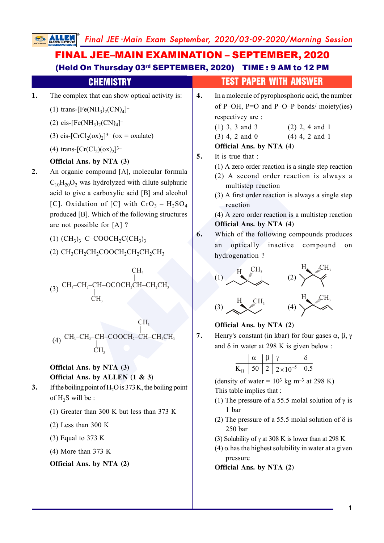Final JEE -Main Exam September, 2020/03-09-2020/Morning Session

#### **EVALUATEL SETARE CHANGE CHANGE CHANGE CHANGE CHANGE CHANGE CHANGE CHANGE CHANGE CHANGE CHANGE CHANGE CHANGE CHANGE CHANGE CHANGE CHANGE CHANGE CHANGE CHANGE CHANGE CHANGE CHANGE CHANGE CHANGE CHANGE CHANGE CHANGE CHANGE 1.** The complex that can show optical activity is: (1) trans-[Fe(NH<sub>3</sub>)<sub>2</sub>(CN)<sub>4</sub>]<sup>-</sup> (2) cis-[Fe(NH<sub>3</sub>)<sub>2</sub>(CN)<sub>4</sub>]<sup>-</sup> (3) cis-[CrCl<sub>2</sub>(ox)<sub>2</sub>]<sup>3-</sup> (ox = oxalate) (4) trans- $[Cr(Cl<sub>2</sub>)(ox)<sub>2</sub>]^{3-}$ **Official Ans. by NTA (3) 2.** An organic compound [A], molecular formula  $C_{10}H_{20}O_2$  was hydrolyzed with dilute sulphuric acid to give a carboxylic acid [B] and alcohol [C]. Oxidation of [C] with  $Cro_3 - H_2SO_4$ produced [B]. Which of the following structures are not possible for [A] ? (1)  $(CH_3)_3$ -C-COOCH<sub>2</sub>C(CH<sub>3</sub>)<sub>3</sub> (2)  $\text{CH}_3\text{CH}_2\text{CH}_2\text{COOCH}_2\text{CH}_2\text{CH}_2\text{CH}_3$ (3)  $CH_3$ -CH<sub>2</sub>-CH-OCOCH<sub>2</sub>CH-CH<sub>2</sub>CH<sub>3</sub> CH. |<br>CH-OCOCH<sub>2</sub>C<br>CH<sub>3</sub> CH 3 (4)  $CH_3-CH_2-CH-COOCH_2-CH-CH_2CH_3$ ĊН, СН–СООСН<u>2</u>−С<br>|<br>СН<sub>3</sub>  $CH<sub>3</sub>$ **Official Ans. by NTA (3) Official Ans. by ALLEN (1 & 3) 3.** If the boiling point of H <sup>2</sup>O is 373 K, the boiling point of  $H_2S$  will be : (1) Greater than 300 K but less than 373 K (2) Less than 300 K (3) Equal to 373 K (4) More than 373 K **Official Ans. by NTA (2)** FINAL JEE–MAIN EXAMINATION – SEPTEMBER, 2020 (Held On Thursday 03rd SEPTEMBER, 2020) TIME : 9 AM to 12 PM CHEMISTRY TEST PAPER WITH ANSWER **4.** In a molecule of pyrophosphoric acid, the number of P–OH, P=O and P–O–P bonds/ moiety(ies) respectivey are : (1) 3, 3 and 3 (2) 2, 4 and 1 (3) 4, 2 and 0 (4) 4, 2 and 1 **Official Ans. by NTA (4) 5.** It is true that : (1) A zero order reaction is a single step reaction (2) A second order reaction is always a multistep reaction (3) A first order reaction is always a single step reaction (4) A zero order reaction is a multistep reaction **Official Ans. by NTA (4) 6.** Which of the following compounds produces an optically inactive compound on hydrogenation ? (1)  $H \longrightarrow \begin{bmatrix} CH_3 \\ \vdots \\ \vdots \\ \end{bmatrix}$  (2)  $H$   $CH$ 3 (3)  $H_$   $CH_3$ (4)  $H_{\bullet}$   $CH_{3}$ **Official Ans. by NTA (2) 7.** Henry's constant (in kbar) for four gases  $\alpha$ ,  $\beta$ ,  $\gamma$ and  $\delta$  in water at 298 K is given below :  $K_{\rm H}$  | 50 | 2 | 2 × 10<sup>-5</sup> | 0.5  $\alpha$   $\beta$   $\gamma$   $\delta$  $\times$ (density of water =  $10<sup>3</sup>$  kg m<sup>-3</sup> at 298 K) This table implies that : (1) The pressure of a 55.5 molal solution of  $\gamma$  is 1 bar (2) The pressure of a 55.5 molal solution of  $\delta$  is 250 bar (3) Solubility of  $\gamma$  at 308 K is lower than at 298 K  $(4)$   $\alpha$  has the highest solubility in water at a given pressure **Official Ans. by NTA (2)**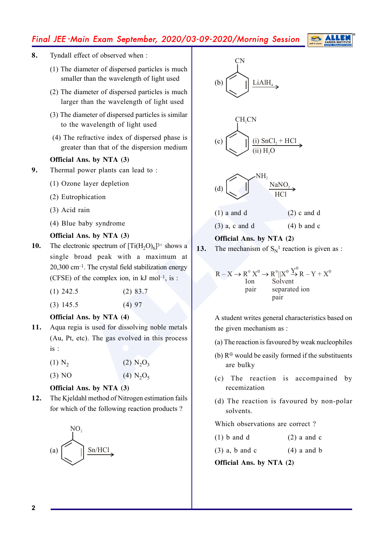# Final JEE -Main Exam September, 2020/03-09-2020/Morning Session

- **8.** Tyndall effect of observed when :
	- (1) The diameter of dispersed particles is much smaller than the wavelength of light used
	- (2) The diameter of dispersed particles is much larger than the wavelength of light used
	- (3) The diameter of dispersed particles is similar to the wavelength of light used
	- (4) The refractive index of dispersed phase is greater than that of the dispersion medium

### **Official Ans. by NTA (3)**

- **9.** Thermal power plants can lead to :
	- (1) Ozone layer depletion
	- (2) Eutrophication
	- (3) Acid rain
	- (4) Blue baby syndrome

#### **Official Ans. by NTA (3)**

**10.** The electronic spectrum of  $[Ti(H_2O)_6]^{3+}$  shows a single broad peak with a maximum at  $20,300$  cm<sup>-1</sup>. The crystal field stabilization energy (CFSE) of the complex ion, in  $kJ$  mol<sup>-1</sup>, is :

| $(2)$ 83.7<br>$(1)$ 242.5 |
|---------------------------|
|---------------------------|

(3) 145.5 (4) 97

### **Official Ans. by NTA (4)**

- **11.** Aqua regia is used for dissolving noble metals (Au, Pt, etc). The gas evolved in this process is :
	- $(1) N_2$  $(2)$  N<sub>2</sub>O<sub>3</sub>

 $(3)$  NO  $2^{\text{O}_5}$ 

# **Official Ans. by NTA (3)**

**12.** The Kjeldahl method of Nitrogen estimation fails for which of the following reaction products ?





# **13.** The mechanism of  $S_N^1$  reaction is given as :

**Official Ans. by NTA (2)**

$$
R - X \to R^{\circ} X^{\circ} \to R^{\circ} || X^{\circ} \overset{Y^{\circ}}{\to} R - Y + X^{\circ}
$$
  
Ion  
pair separated ion  
pair

A student writes general characteristics based on the given mechanism as :

- (a) The reaction is favoured by weak nucleophiles
- (b)  $\mathbb{R}^{\oplus}$  would be easily formed if the substituents are bulky
- (c) The reaction is accompained by recemization
- (d) The reaction is favoured by non-polar solvents.

Which observations are correct ?

- (1) b and d  $(2)$  a and c
- $(3)$  a, b and c  $(4)$  a and b

**Official Ans. by NTA (2)**